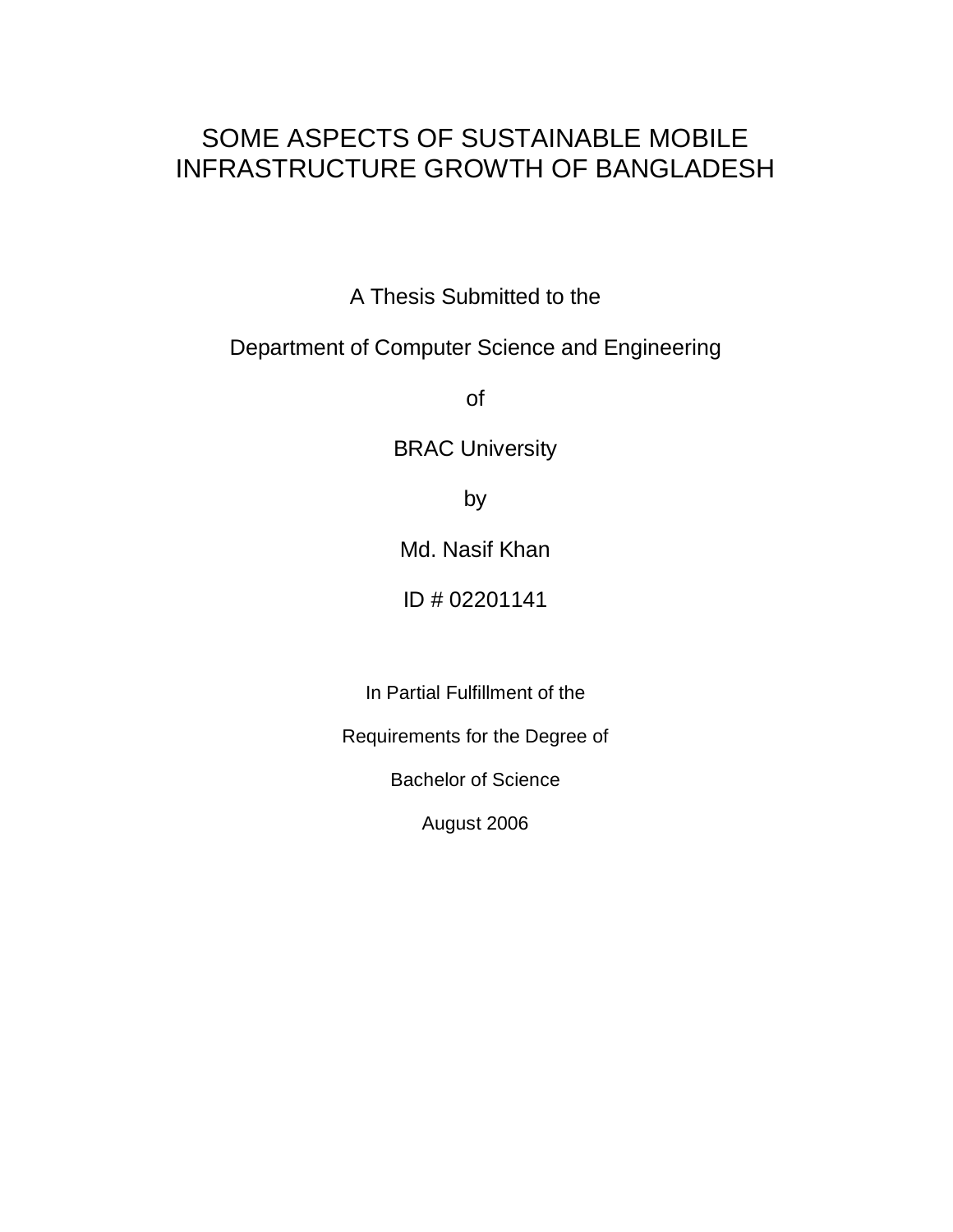# SOME ASPECTS OF SUSTAINABLE MOBILE INFRASTRUCTURE GROWTH OF BANGLADESH

A Thesis Submitted to the

# Department of Computer Science and Engineering

of

BRAC University

by

Md. Nasif Khan

ID # 02201141

In Partial Fulfillment of the

Requirements for the Degree of

Bachelor of Science

August 2006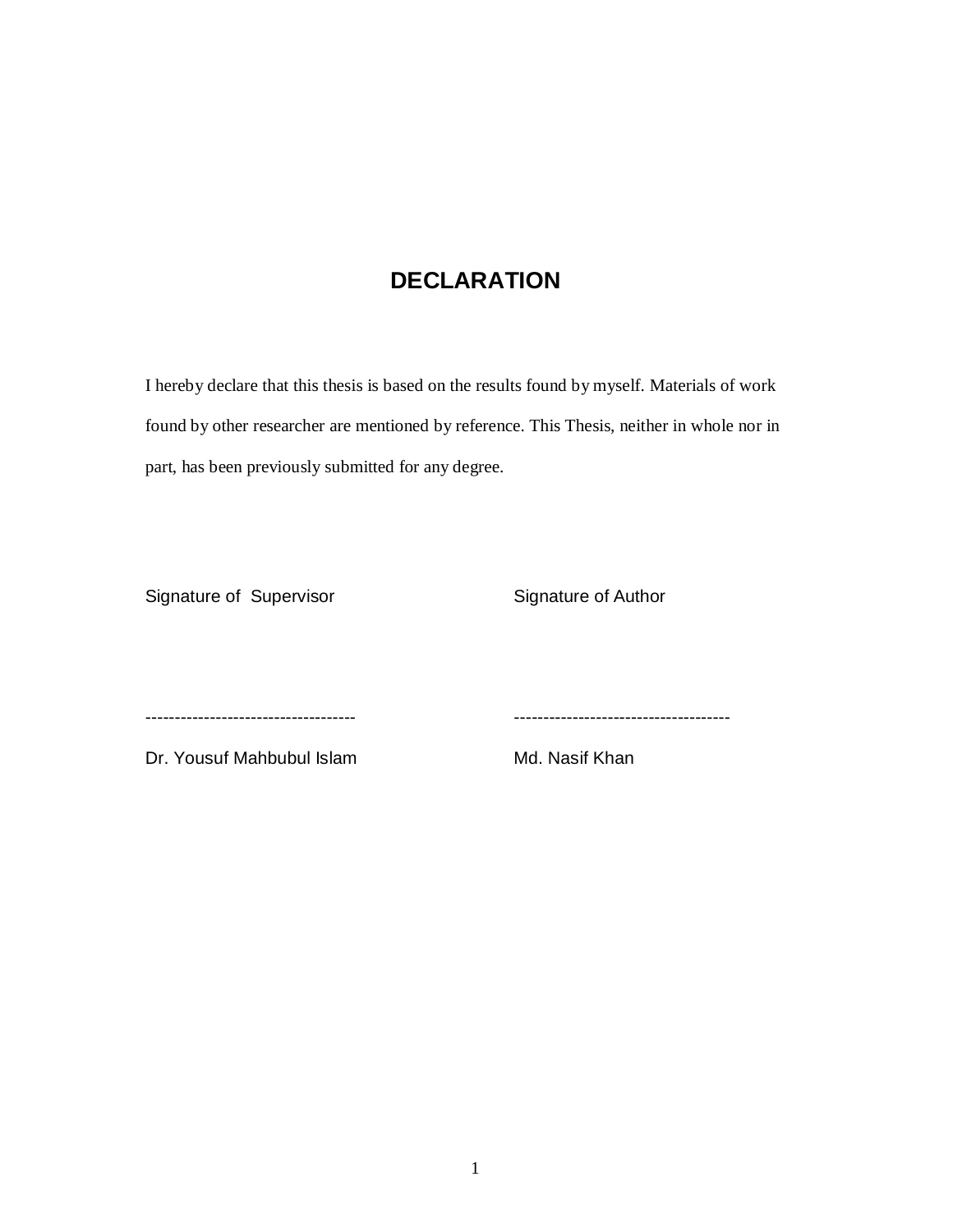# **DECLARATION**

I hereby declare that this thesis is based on the results found by myself. Materials of work found by other researcher are mentioned by reference. This Thesis, neither in whole nor in part, has been previously submitted for any degree.

Signature of Supervisor Signature of Author

------------------------------------ -------------------------------------

Dr. Yousuf Mahbubul Islam Md. Nasif Khan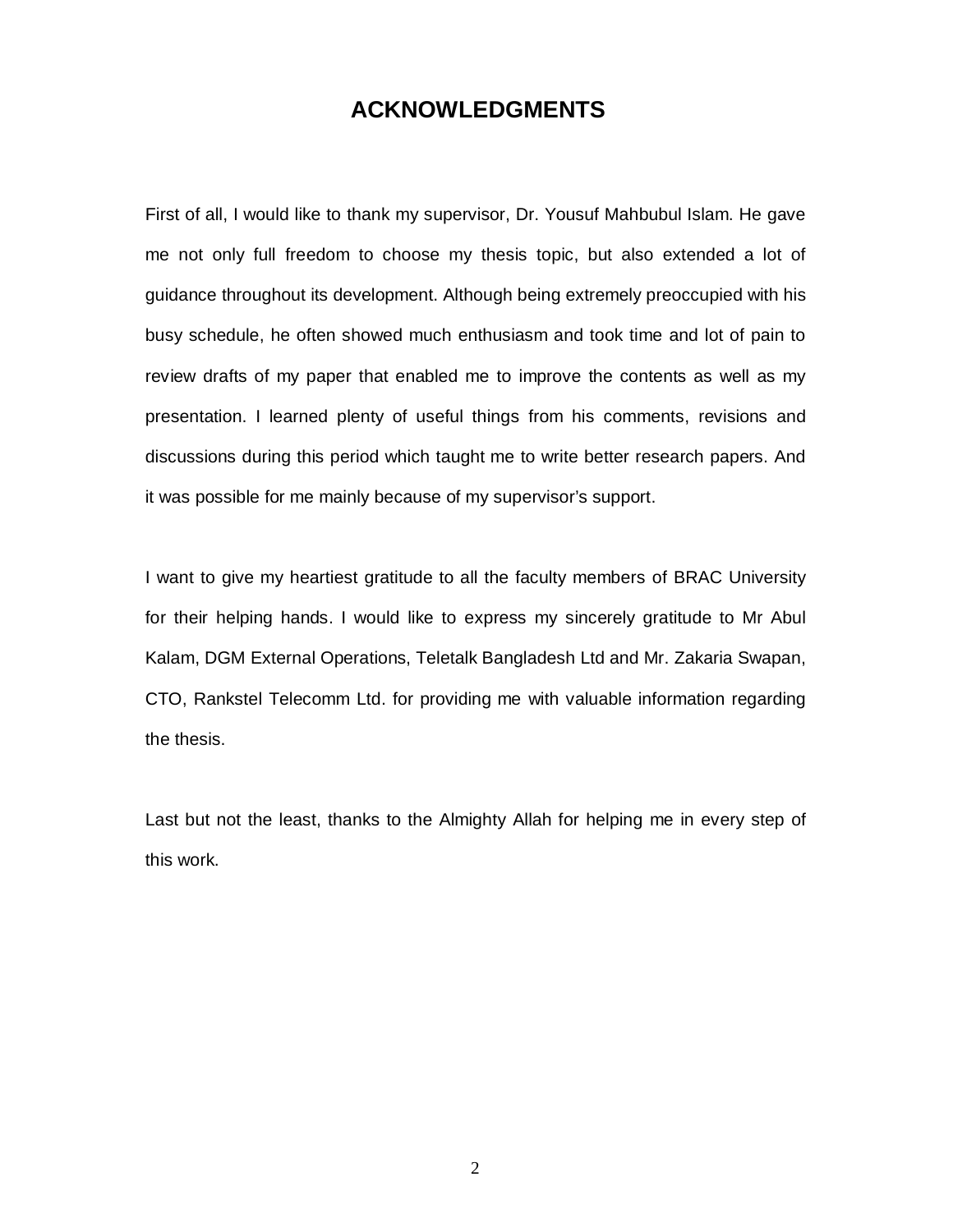# **ACKNOWLEDGMENTS**

First of all, I would like to thank my supervisor, Dr. Yousuf Mahbubul Islam. He gave me not only full freedom to choose my thesis topic, but also extended a lot of guidance throughout its development. Although being extremely preoccupied with his busy schedule, he often showed much enthusiasm and took time and lot of pain to review drafts of my paper that enabled me to improve the contents as well as my presentation. I learned plenty of useful things from his comments, revisions and discussions during this period which taught me to write better research papers. And it was possible for me mainly because of my supervisor's support.

I want to give my heartiest gratitude to all the faculty members of BRAC University for their helping hands. I would like to express my sincerely gratitude to Mr Abul Kalam, DGM External Operations, Teletalk Bangladesh Ltd and Mr. Zakaria Swapan, CTO, Rankstel Telecomm Ltd. for providing me with valuable information regarding the thesis.

Last but not the least, thanks to the Almighty Allah for helping me in every step of this work.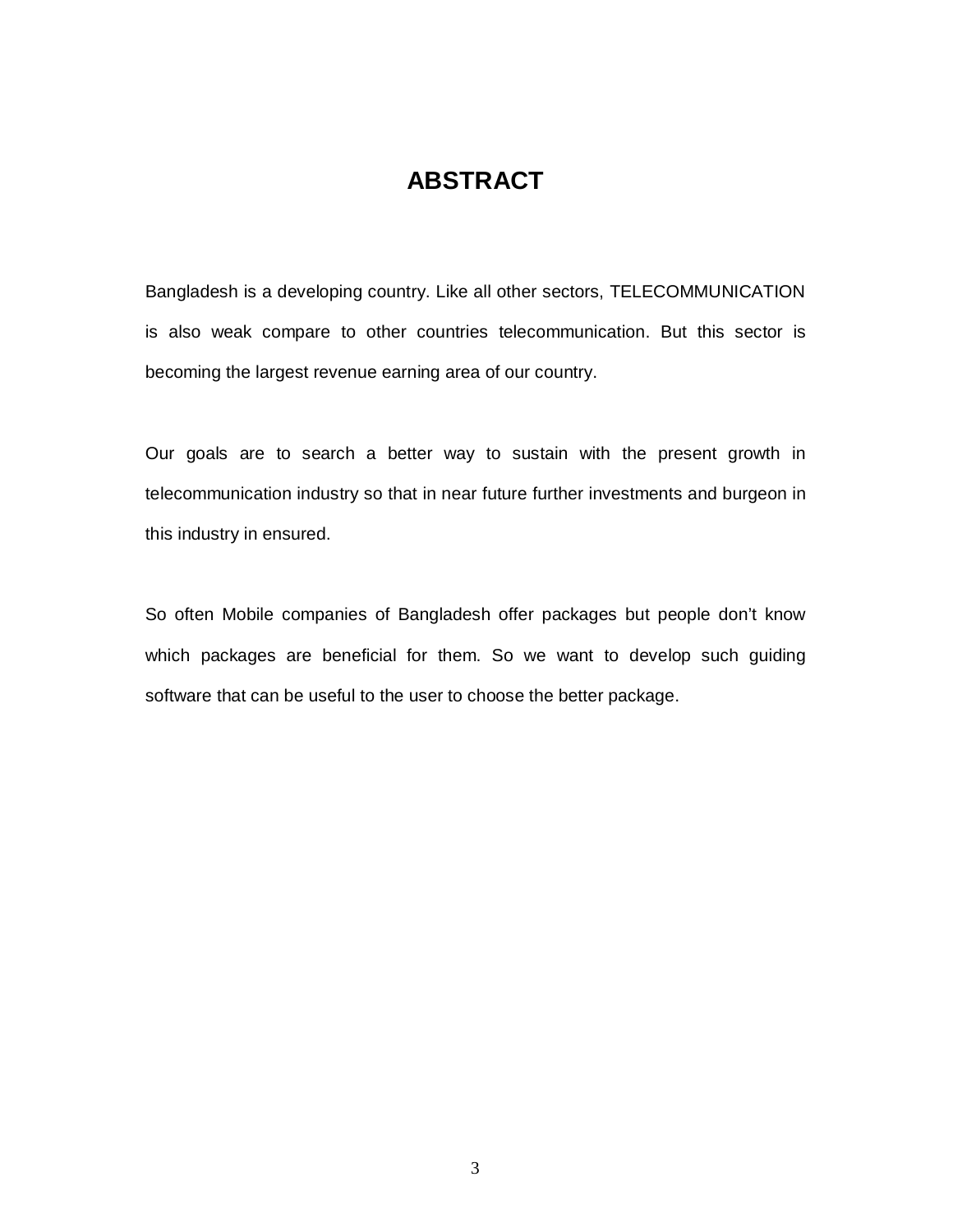# **ABSTRACT**

Bangladesh is a developing country. Like all other sectors, TELECOMMUNICATION is also weak compare to other countries telecommunication. But this sector is becoming the largest revenue earning area of our country.

Our goals are to search a better way to sustain with the present growth in telecommunication industry so that in near future further investments and burgeon in this industry in ensured.

So often Mobile companies of Bangladesh offer packages but people don't know which packages are beneficial for them. So we want to develop such guiding software that can be useful to the user to choose the better package.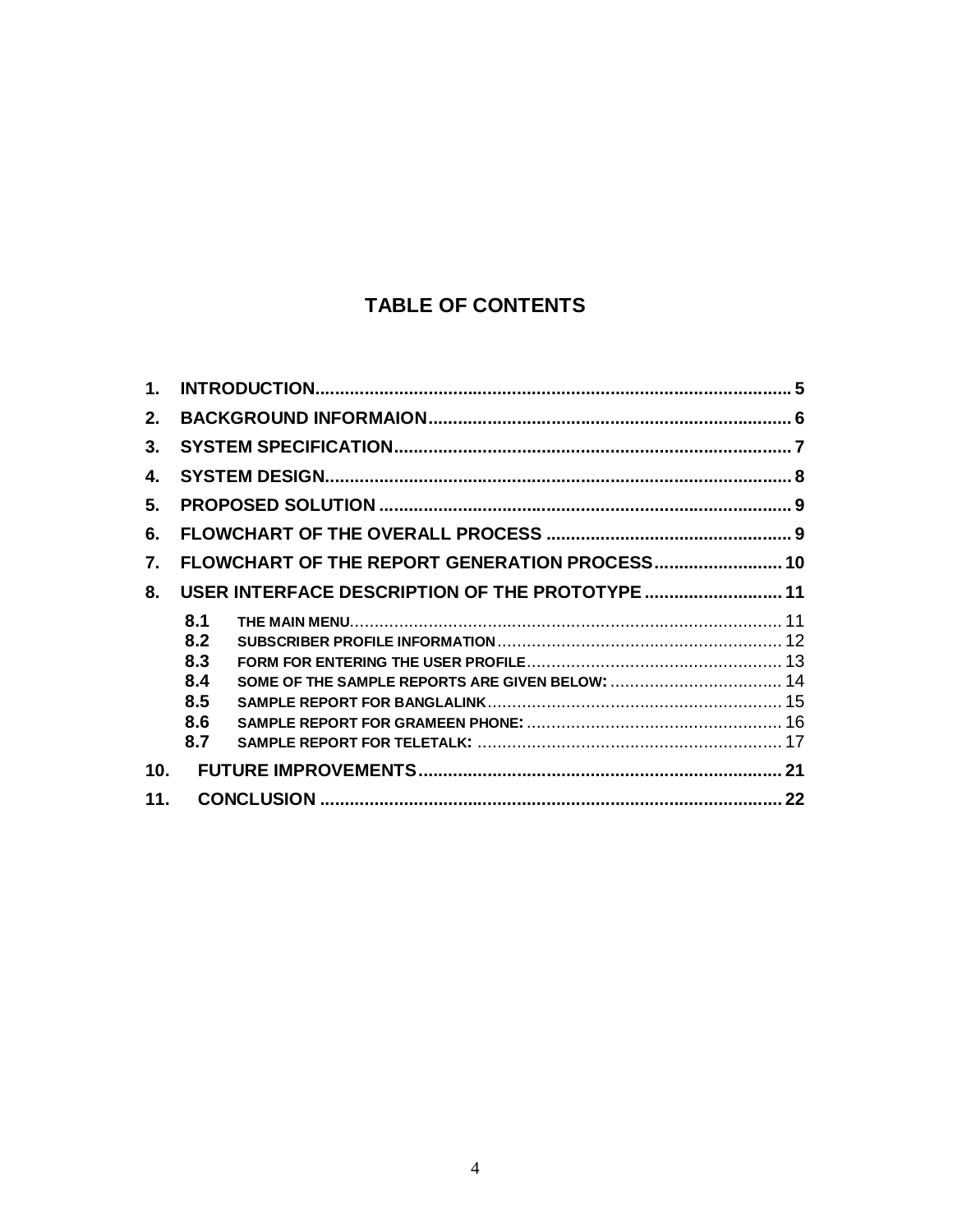# TABLE OF CONTENTS

| $1_{-}$         |                                 |                                                 |  |
|-----------------|---------------------------------|-------------------------------------------------|--|
| 2.              |                                 |                                                 |  |
| 3.              |                                 |                                                 |  |
| 4.              |                                 |                                                 |  |
| 5.              |                                 |                                                 |  |
| 6.              |                                 |                                                 |  |
| 7.              |                                 | FLOWCHART OF THE REPORT GENERATION PROCESS 10   |  |
| 8.              |                                 | USER INTERFACE DESCRIPTION OF THE PROTOTYPE  11 |  |
|                 | 8.1<br>8.2<br>8.3<br>8.4<br>8.5 |                                                 |  |
|                 | 8.6<br>8.7                      |                                                 |  |
| 10 <sub>1</sub> |                                 |                                                 |  |
| 11.             |                                 |                                                 |  |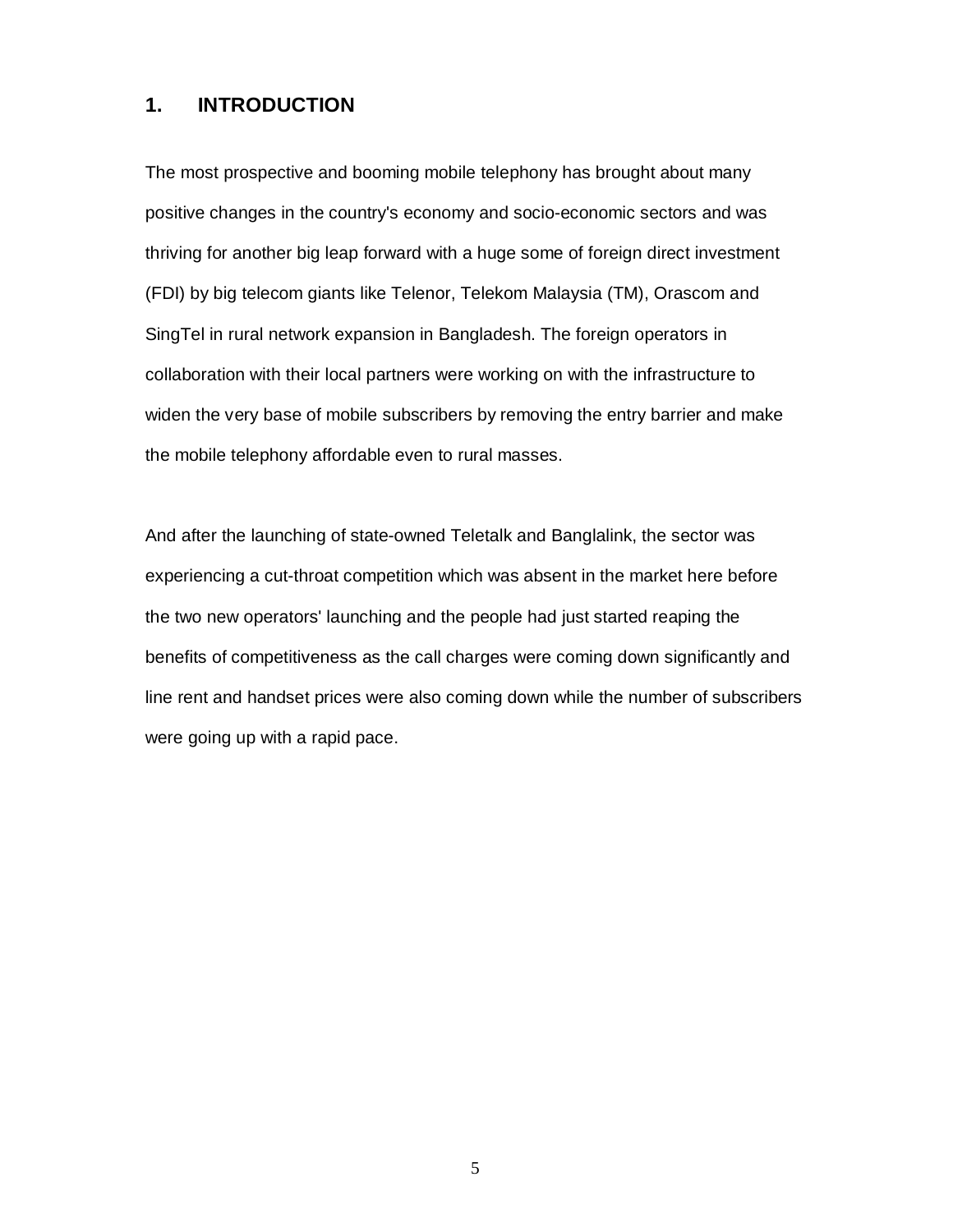### **1. INTRODUCTION**

The most prospective and booming mobile telephony has brought about many positive changes in the country's economy and socio-economic sectors and was thriving for another big leap forward with a huge some of foreign direct investment (FDI) by big telecom giants like Telenor, Telekom Malaysia (TM), Orascom and SingTel in rural network expansion in Bangladesh. The foreign operators in collaboration with their local partners were working on with the infrastructure to widen the very base of mobile subscribers by removing the entry barrier and make the mobile telephony affordable even to rural masses.

And after the launching of state-owned Teletalk and Banglalink, the sector was experiencing a cut-throat competition which was absent in the market here before the two new operators' launching and the people had just started reaping the benefits of competitiveness as the call charges were coming down significantly and line rent and handset prices were also coming down while the number of subscribers were going up with a rapid pace.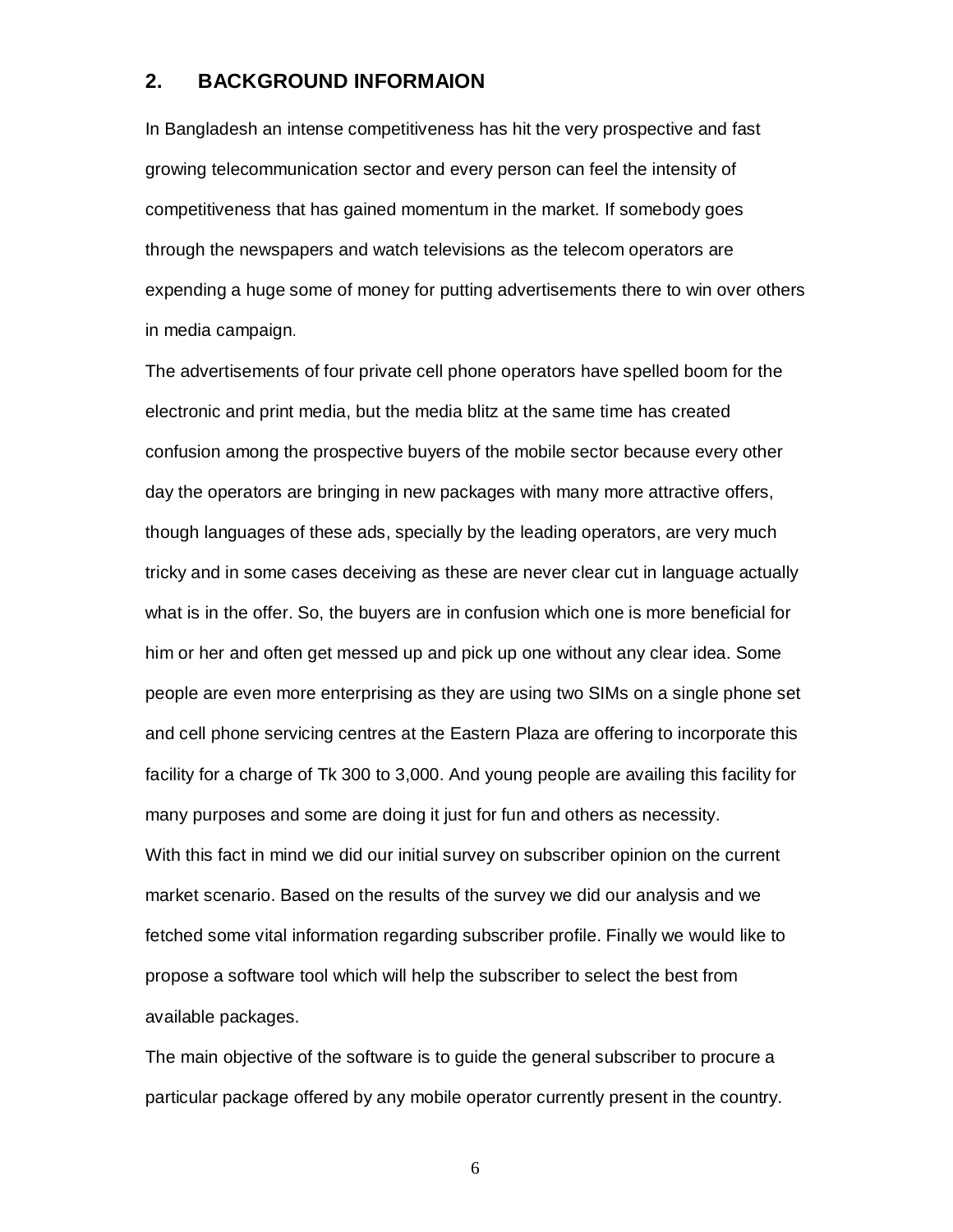### **2. BACKGROUND INFORMAION**

In Bangladesh an intense competitiveness has hit the very prospective and fast growing telecommunication sector and every person can feel the intensity of competitiveness that has gained momentum in the market. If somebody goes through the newspapers and watch televisions as the telecom operators are expending a huge some of money for putting advertisements there to win over others in media campaign.

The advertisements of four private cell phone operators have spelled boom for the electronic and print media, but the media blitz at the same time has created confusion among the prospective buyers of the mobile sector because every other day the operators are bringing in new packages with many more attractive offers, though languages of these ads, specially by the leading operators, are very much tricky and in some cases deceiving as these are never clear cut in language actually what is in the offer. So, the buyers are in confusion which one is more beneficial for him or her and often get messed up and pick up one without any clear idea. Some people are even more enterprising as they are using two SIMs on a single phone set and cell phone servicing centres at the Eastern Plaza are offering to incorporate this facility for a charge of Tk 300 to 3,000. And young people are availing this facility for many purposes and some are doing it just for fun and others as necessity. With this fact in mind we did our initial survey on subscriber opinion on the current market scenario. Based on the results of the survey we did our analysis and we fetched some vital information regarding subscriber profile. Finally we would like to propose a software tool which will help the subscriber to select the best from available packages.

The main objective of the software is to guide the general subscriber to procure a particular package offered by any mobile operator currently present in the country.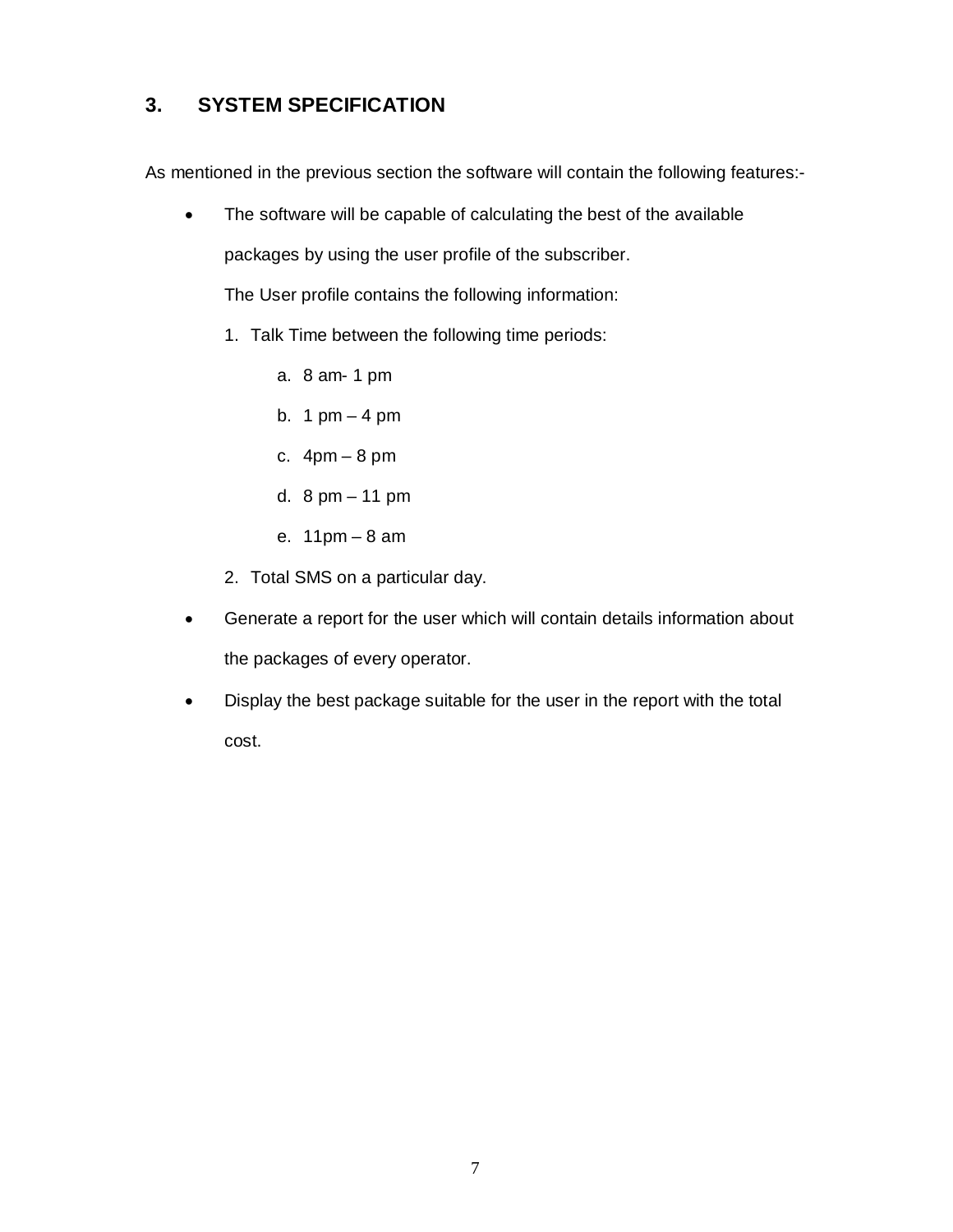# **3. SYSTEM SPECIFICATION**

As mentioned in the previous section the software will contain the following features:-

• The software will be capable of calculating the best of the available packages by using the user profile of the subscriber.

The User profile contains the following information:

- 1. Talk Time between the following time periods:
	- a. 8 am- 1 pm
	- b. 1  $pm 4$  pm
	- c.  $4pm 8pm$
	- d. 8 pm 11 pm
	- e. 11pm 8 am
- 2. Total SMS on a particular day.
- Generate a report for the user which will contain details information about the packages of every operator.
- Display the best package suitable for the user in the report with the total cost.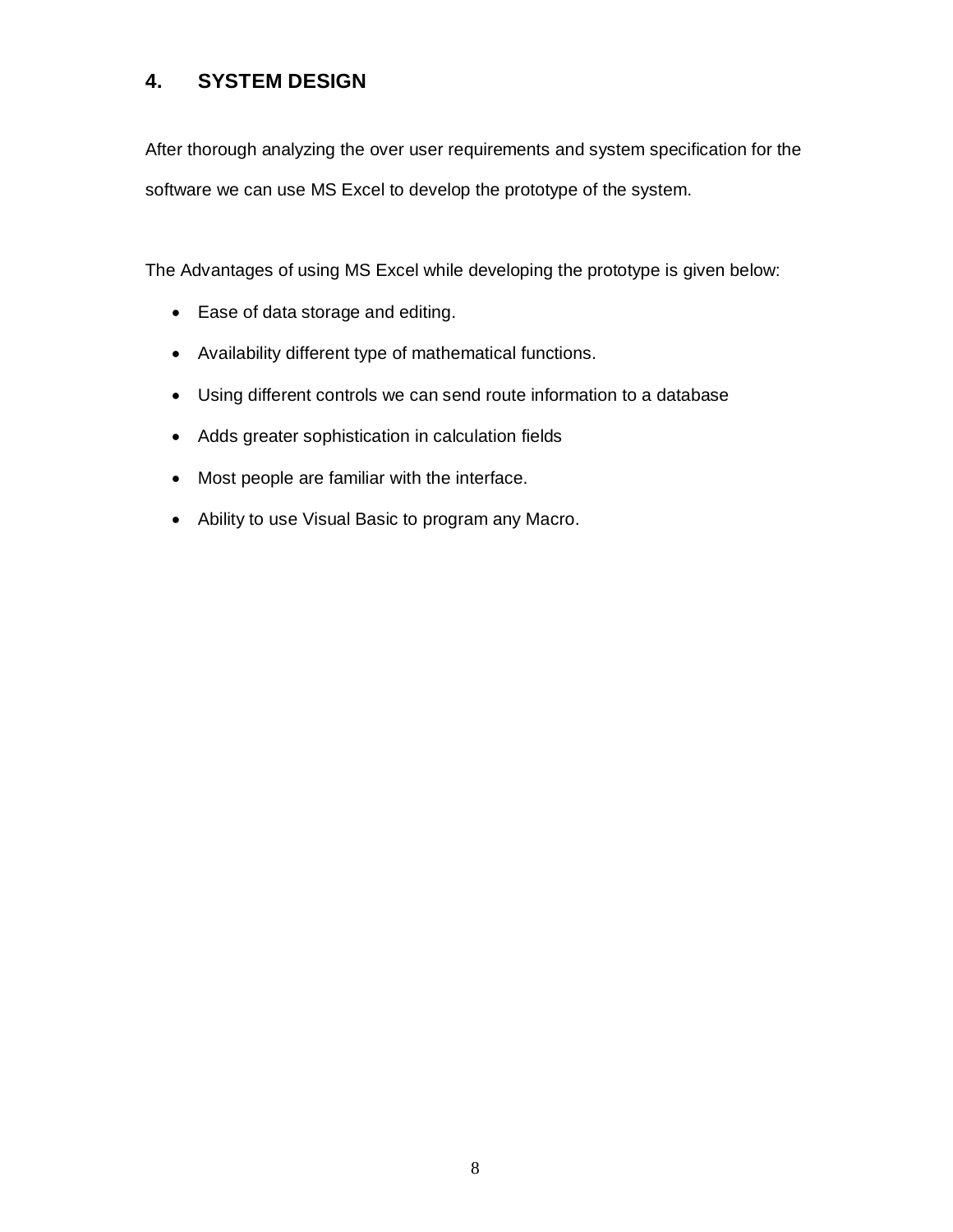## **4. SYSTEM DESIGN**

After thorough analyzing the over user requirements and system specification for the software we can use MS Excel to develop the prototype of the system.

The Advantages of using MS Excel while developing the prototype is given below:

- Ease of data storage and editing.
- Availability different type of mathematical functions.
- Using different controls we can send route information to a database
- Adds greater sophistication in calculation fields
- Most people are familiar with the interface.
- Ability to use Visual Basic to program any Macro.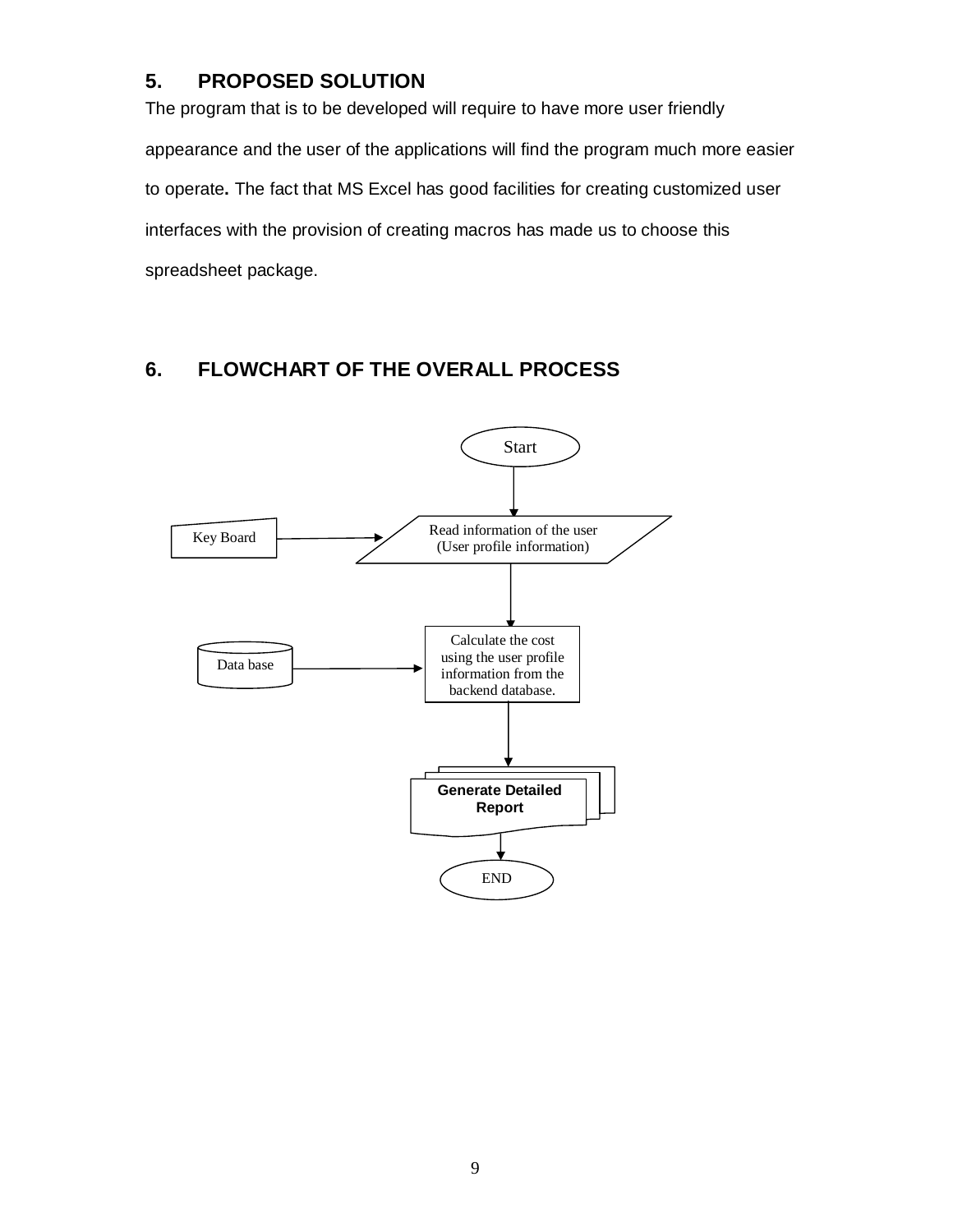## **5. PROPOSED SOLUTION**

The program that is to be developed will require to have more user friendly appearance and the user of the applications will find the program much more easier to operate**.** The fact that MS Excel has good facilities for creating customized user interfaces with the provision of creating macros has made us to choose this spreadsheet package.

## **6. FLOWCHART OF THE OVERALL PROCESS**

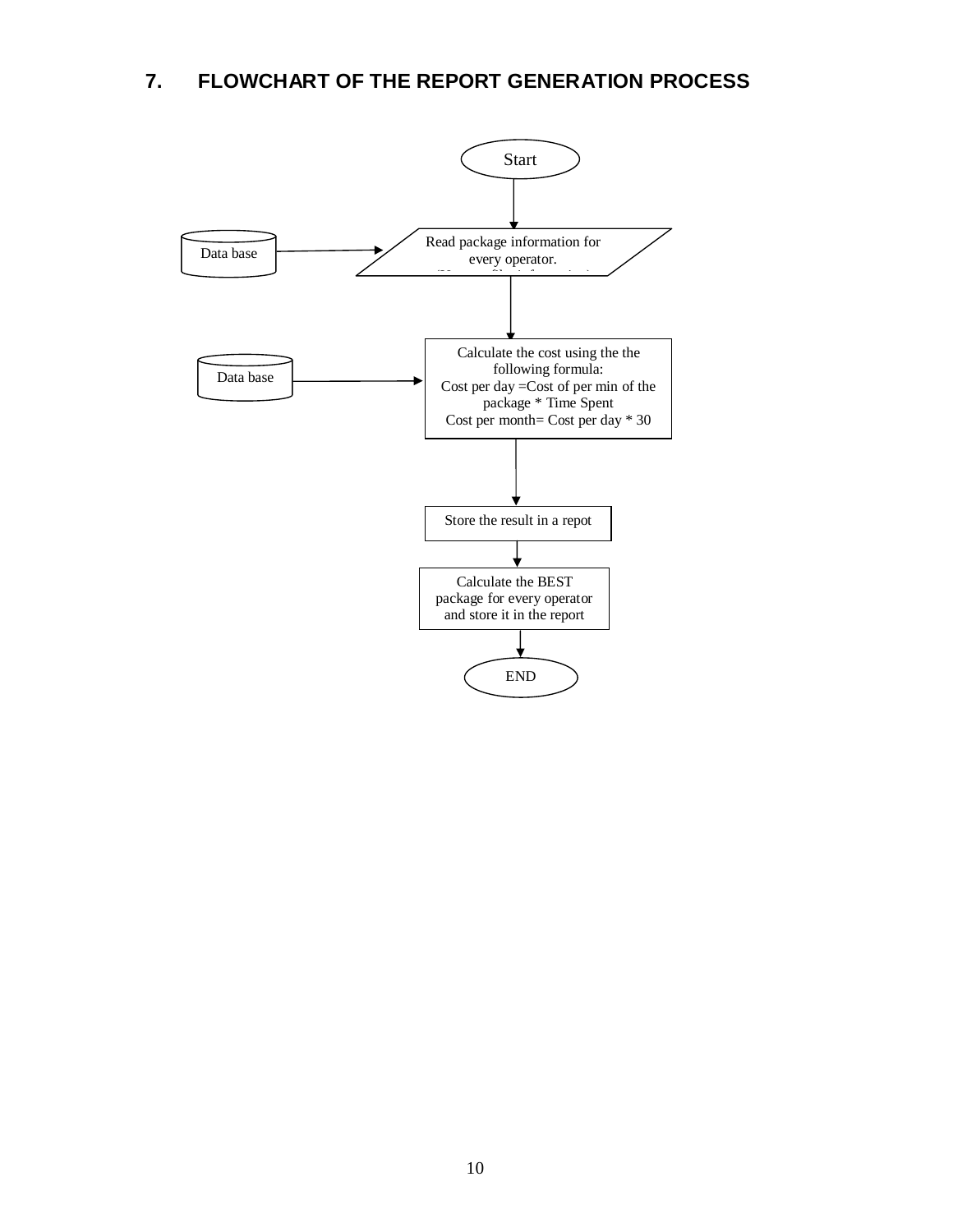## **7. FLOWCHART OF THE REPORT GENERATION PROCESS**

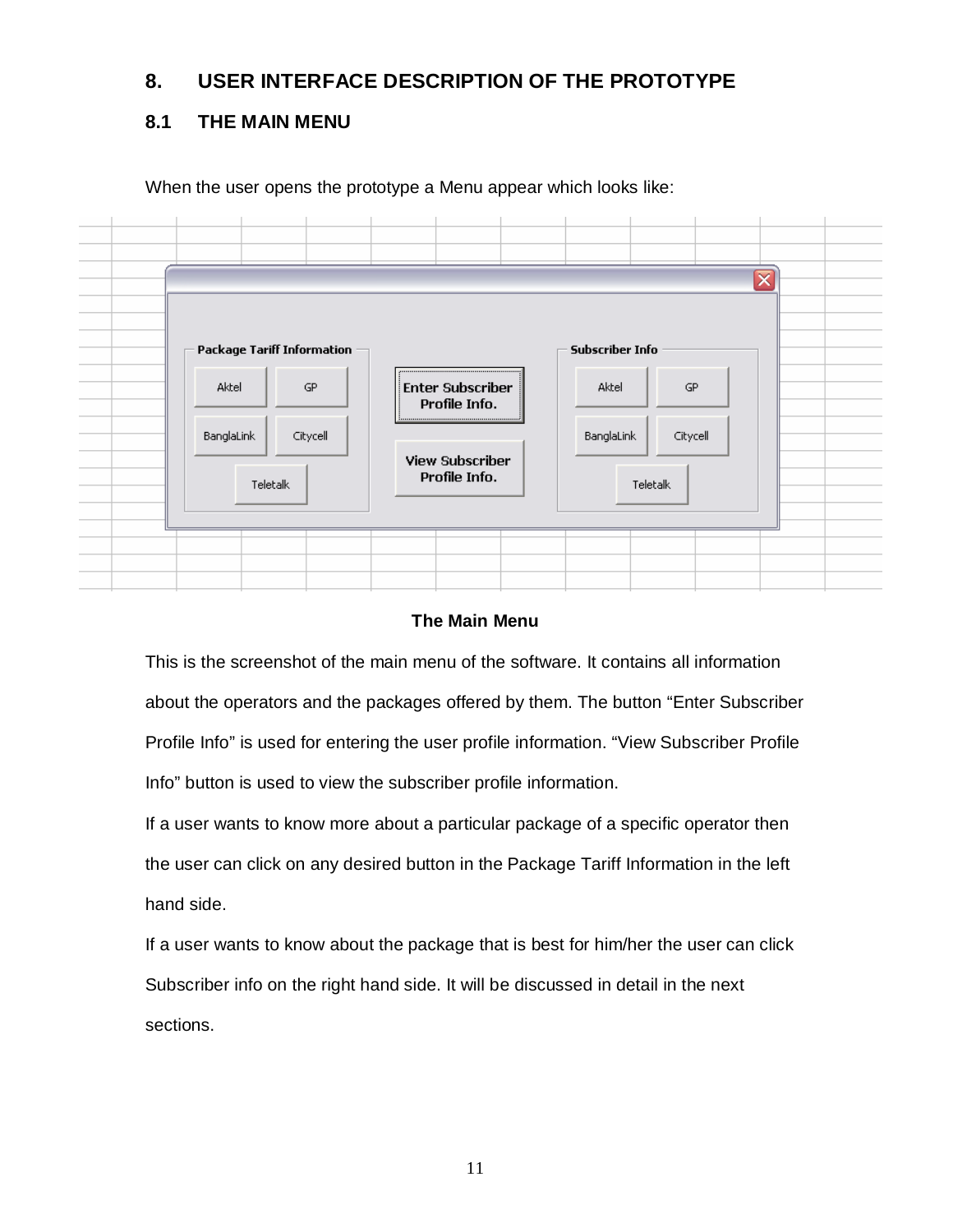## **8. USER INTERFACE DESCRIPTION OF THE PROTOTYPE**

## **8.1 THE MAIN MENU**

When the user opens the prototype a Menu appear which looks like:



### **The Main Menu**

This is the screenshot of the main menu of the software. It contains all information about the operators and the packages offered by them. The button "Enter Subscriber Profile Info" is used for entering the user profile information. "View Subscriber Profile Info" button is used to view the subscriber profile information.

If a user wants to know more about a particular package of a specific operator then the user can click on any desired button in the Package Tariff Information in the left hand side.

If a user wants to know about the package that is best for him/her the user can click Subscriber info on the right hand side. It will be discussed in detail in the next sections.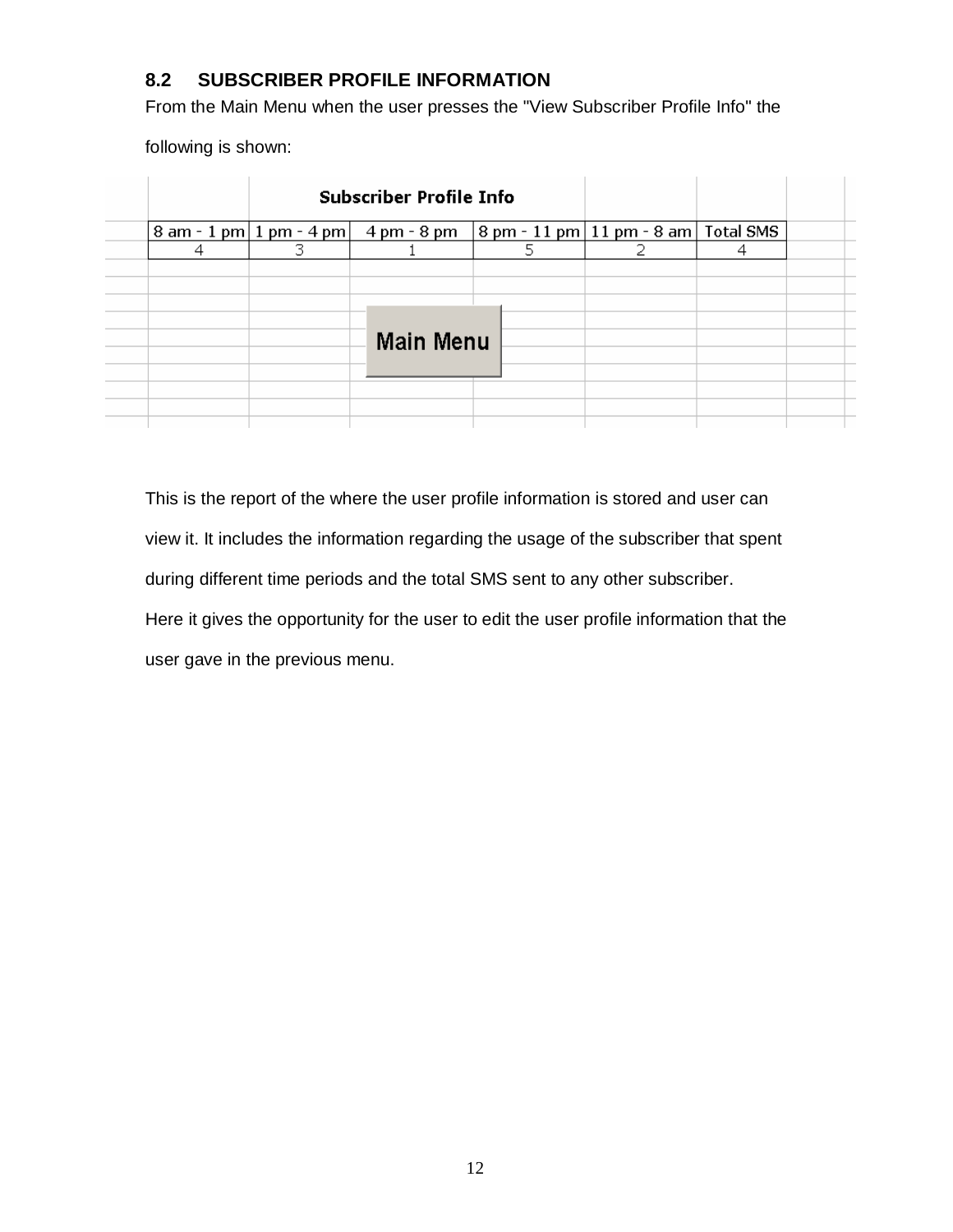## **8.2 SUBSCRIBER PROFILE INFORMATION**

From the Main Menu when the user presses the "View Subscriber Profile Info" the

following is shown:

|   | <b>Subscriber Profile Info</b>                                                           |   |  |  |
|---|------------------------------------------------------------------------------------------|---|--|--|
|   | 8 am - 1 pm   1 pm - 4 pm $ $ 4 pm - 8 pm $ $ 8 pm - 11 pm $ 11$ pm - 8 am $ $ Total SMS |   |  |  |
| 4 |                                                                                          | 5 |  |  |
|   |                                                                                          |   |  |  |
|   |                                                                                          |   |  |  |
|   |                                                                                          |   |  |  |
|   |                                                                                          |   |  |  |
|   | <b>Main Menu</b>                                                                         |   |  |  |
|   |                                                                                          |   |  |  |
|   |                                                                                          |   |  |  |
|   |                                                                                          |   |  |  |
|   |                                                                                          |   |  |  |
|   |                                                                                          |   |  |  |

This is the report of the where the user profile information is stored and user can view it. It includes the information regarding the usage of the subscriber that spent during different time periods and the total SMS sent to any other subscriber. Here it gives the opportunity for the user to edit the user profile information that the user gave in the previous menu.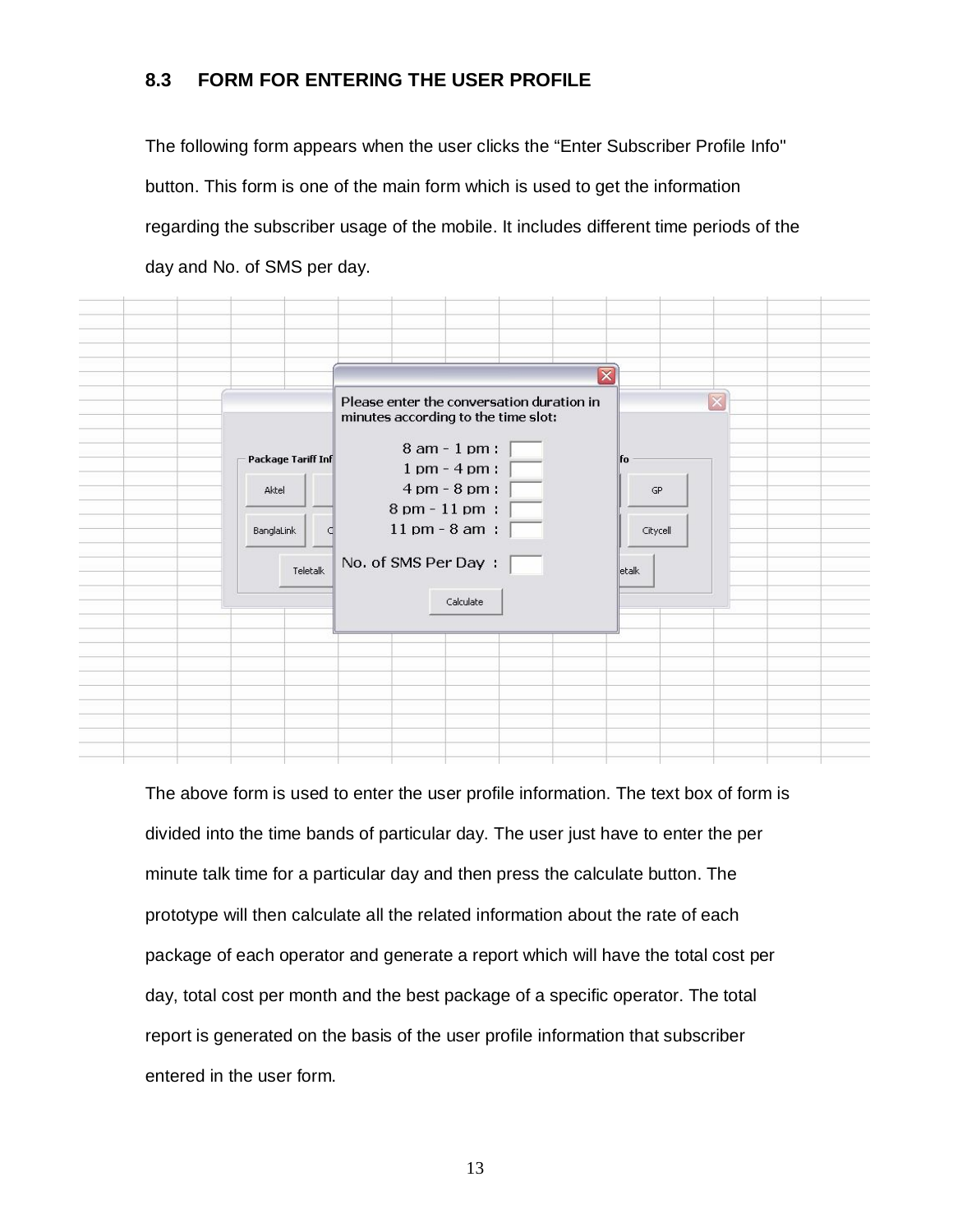## **8.3 FORM FOR ENTERING THE USER PROFILE**

The following form appears when the user clicks the "Enter Subscriber Profile Info" button. This form is one of the main form which is used to get the information regarding the subscriber usage of the mobile. It includes different time periods of the day and No. of SMS per day.

| Package Tariff Inf<br>Aktel | $\overline{\mathbf{x}}$<br>Please enter the conversation duration in<br>minutes according to the time slot:<br>8 am - 1 pm : $\lceil$<br>$1 \text{ pm} - 4 \text{ pm}$ :<br>$4 \text{ pm} - 8 \text{ pm}$ :<br>8 pm - 11 pm :<br>$11 \text{ pm} - 8 \text{ am}$ : | $\overline{\mathsf{x}}$<br>  fo<br><b>GP</b> |
|-----------------------------|-------------------------------------------------------------------------------------------------------------------------------------------------------------------------------------------------------------------------------------------------------------------|----------------------------------------------|
| BanglaLink<br>Œ<br>Teletalk | No. of SMS Per Day:<br>Calculate                                                                                                                                                                                                                                  | Citycell<br>etalk                            |

The above form is used to enter the user profile information. The text box of form is divided into the time bands of particular day. The user just have to enter the per minute talk time for a particular day and then press the calculate button. The prototype will then calculate all the related information about the rate of each package of each operator and generate a report which will have the total cost per day, total cost per month and the best package of a specific operator. The total report is generated on the basis of the user profile information that subscriber entered in the user form.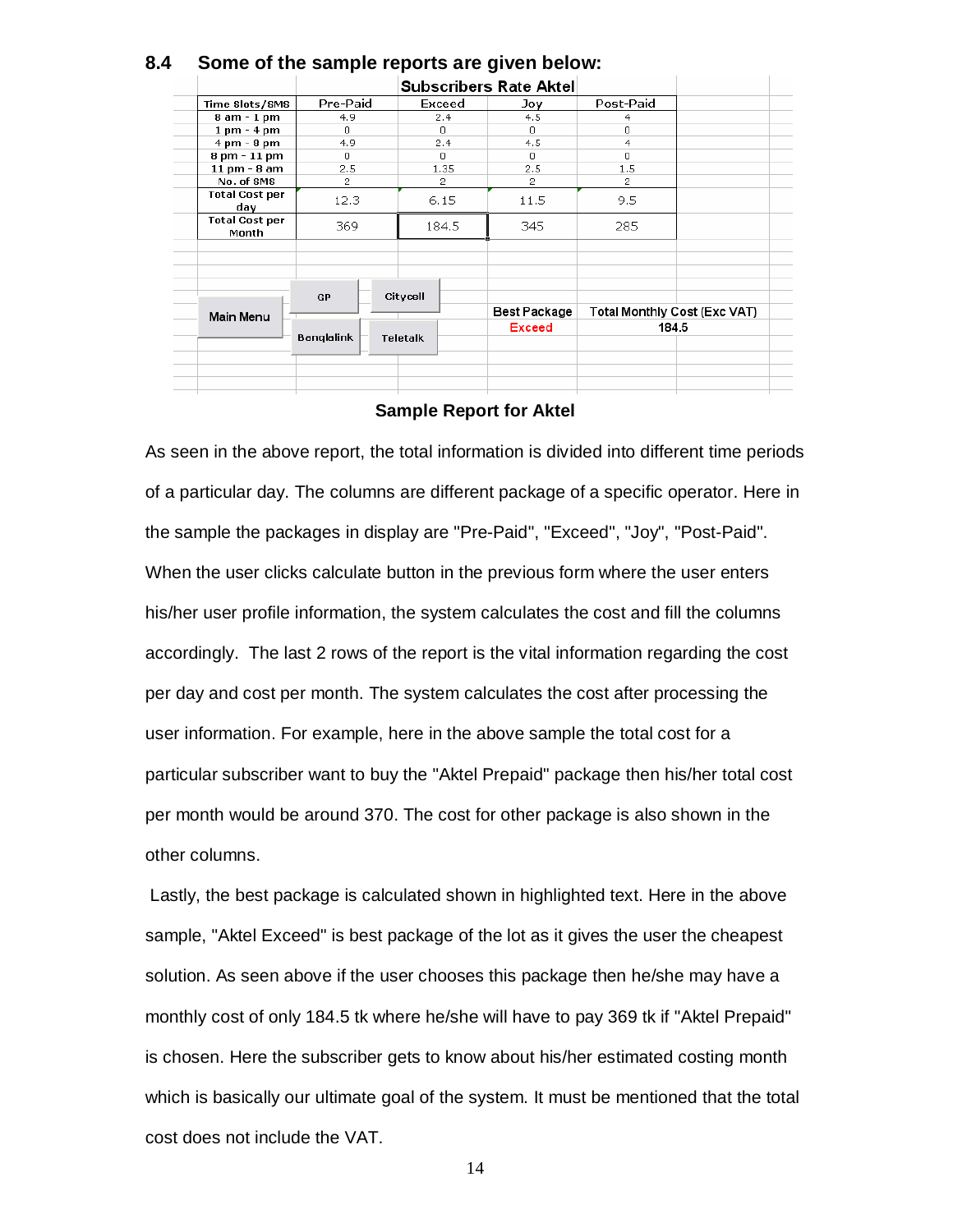|                                |                   |                 | <b>Subscribers Rate Aktel</b> |                              |       |
|--------------------------------|-------------------|-----------------|-------------------------------|------------------------------|-------|
| Time Slots/SMS                 | Pre-Paid          | Exceed          | Joy                           | Post-Paid                    |       |
| 8 am - 1 pm                    | 4.9               | 2.4             | 4.5                           | 4                            |       |
| $1 \text{ pm} - 4 \text{ pm}$  | $\Omega$          | $\Omega$        | $\Omega$                      | 0                            |       |
| $4 \text{ pm} - 8 \text{ pm}$  | 4.9               | 2.4             | 4.5                           | 4                            |       |
| 8 pm - 11 pm                   | $\Omega$          | $\Omega$        | л.                            | n.                           |       |
| 11 pm - 8 am                   | 2.5               | 1.35            | 2.5                           | 1.5                          |       |
| No. of SMS                     | $\overline{2}$    | $\overline{2}$  | 2                             | 2                            |       |
| <b>Total Cost per</b><br>day   | 12.3              | 6.15            | 11.5                          | 9.5                          |       |
| <b>Total Cost per</b><br>Month | 369               | 184.5           | 345                           | 285                          |       |
|                                |                   |                 |                               |                              |       |
| <b>Main Menu</b>               | <b>GP</b>         | Citycell        | Best Package                  | Total Monthly Cost (Exc VAT) |       |
|                                | <b>Banglalink</b> | <b>Teletalk</b> | Exceed                        |                              | 184.5 |
|                                |                   |                 |                               |                              |       |
|                                |                   |                 |                               |                              |       |
|                                |                   |                 |                               |                              |       |
|                                |                   |                 |                               |                              |       |

## **8.4 Some of the sample reports are given below:**

#### **Sample Report for Aktel**

As seen in the above report, the total information is divided into different time periods of a particular day. The columns are different package of a specific operator. Here in the sample the packages in display are "Pre-Paid", "Exceed", "Joy", "Post-Paid". When the user clicks calculate button in the previous form where the user enters his/her user profile information, the system calculates the cost and fill the columns accordingly. The last 2 rows of the report is the vital information regarding the cost per day and cost per month. The system calculates the cost after processing the user information. For example, here in the above sample the total cost for a particular subscriber want to buy the "Aktel Prepaid" package then his/her total cost per month would be around 370. The cost for other package is also shown in the other columns.

 Lastly, the best package is calculated shown in highlighted text. Here in the above sample, "Aktel Exceed" is best package of the lot as it gives the user the cheapest solution. As seen above if the user chooses this package then he/she may have a monthly cost of only 184.5 tk where he/she will have to pay 369 tk if "Aktel Prepaid" is chosen. Here the subscriber gets to know about his/her estimated costing month which is basically our ultimate goal of the system. It must be mentioned that the total cost does not include the VAT.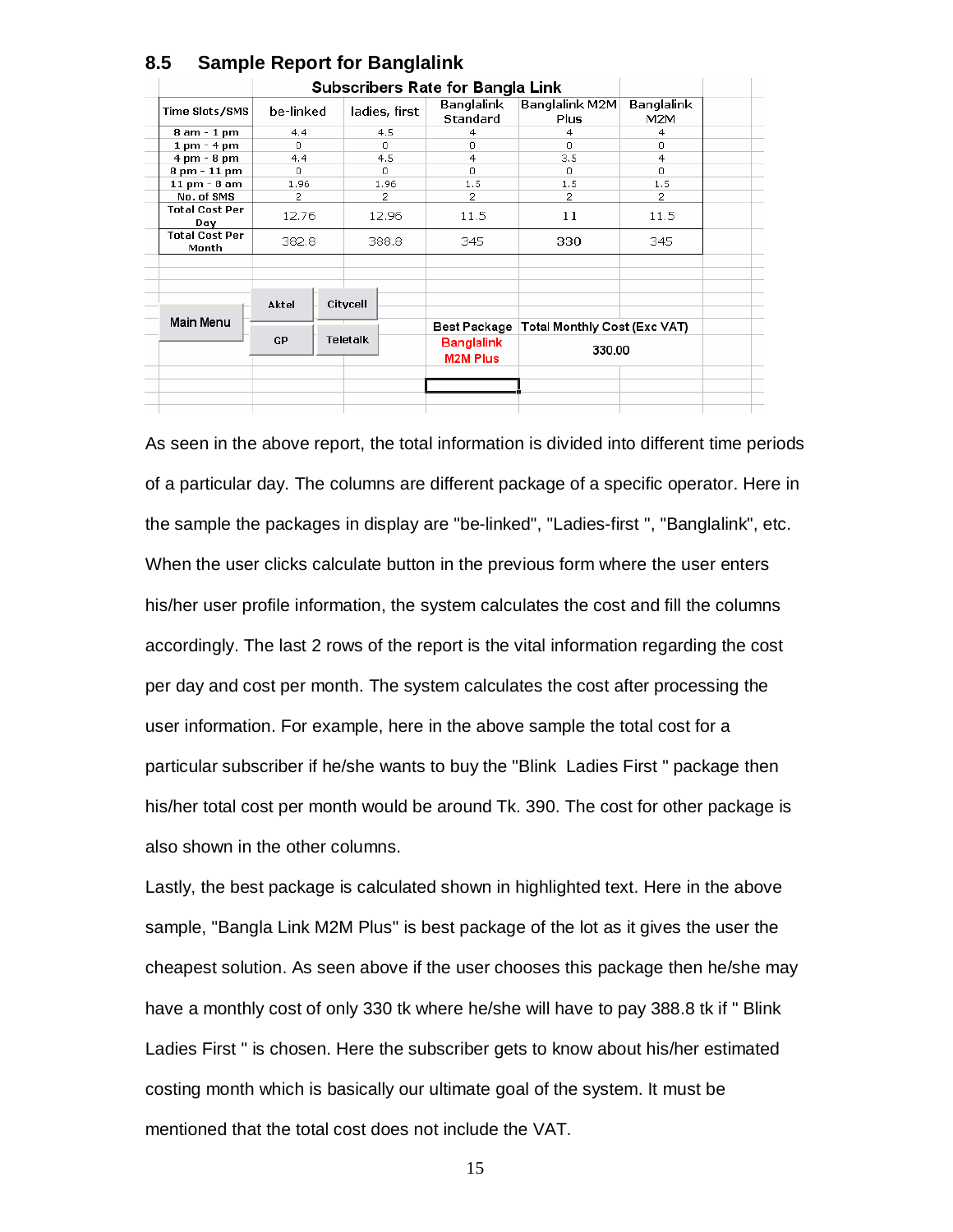|                                |                       | <b>Subscribers Rate for Bangla Link</b> |                                      |                               |                               |                   |  |  |  |
|--------------------------------|-----------------------|-----------------------------------------|--------------------------------------|-------------------------------|-------------------------------|-------------------|--|--|--|
| Time Slots/SMS                 | be-linked             |                                         | ladies, first                        | Banglalink<br><b>Standard</b> | Banglalink M2M<br><b>Plus</b> | Banglalink<br>M2M |  |  |  |
| 8 am - 1 pm                    | 4.4                   |                                         | 4.5                                  | 4<br>0.                       | 4                             | 4                 |  |  |  |
| $1 \text{ pm} - 4 \text{ pm}$  | n.                    |                                         | 0.                                   |                               | n                             | 0                 |  |  |  |
| $4 \text{ pm} - 8 \text{ pm}$  | 4.4                   |                                         | 4.5                                  | 4                             | 3.5                           | $\overline{4}$    |  |  |  |
| 8 pm - 11 pm                   | n.                    |                                         | n.                                   | n.                            | n                             | Ω.                |  |  |  |
| 11 pm - 8 am                   | 1.96                  |                                         | 1.96                                 | 1.5                           | 1.5                           | 1.5               |  |  |  |
| No. of SMS                     | 2                     |                                         | 2                                    | 2                             | 2                             | $\overline{2}$    |  |  |  |
| <b>Total Cost Per</b><br>Day   | 12.76<br>382.8        |                                         | 12.96                                | 11.5                          | 11                            | 11.5              |  |  |  |
| <b>Total Cost Per</b><br>Month |                       |                                         | 388.8                                | 345                           | 330                           | 345               |  |  |  |
|                                | Aktel                 |                                         | Citycell                             |                               |                               |                   |  |  |  |
| Main Menu                      |                       |                                         |                                      | Best Package                  | Total Monthly Cost (Exc VAT)  |                   |  |  |  |
|                                | Teletalk<br><b>GP</b> |                                         | <b>Banglalink</b><br><b>M2M Plus</b> | 330.00                        |                               |                   |  |  |  |

### **8.5 Sample Report for Banglalink**

As seen in the above report, the total information is divided into different time periods of a particular day. The columns are different package of a specific operator. Here in the sample the packages in display are "be-linked", "Ladies-first ", "Banglalink", etc. When the user clicks calculate button in the previous form where the user enters his/her user profile information, the system calculates the cost and fill the columns accordingly. The last 2 rows of the report is the vital information regarding the cost per day and cost per month. The system calculates the cost after processing the user information. For example, here in the above sample the total cost for a particular subscriber if he/she wants to buy the "Blink Ladies First " package then his/her total cost per month would be around Tk. 390. The cost for other package is also shown in the other columns.

Lastly, the best package is calculated shown in highlighted text. Here in the above sample, "Bangla Link M2M Plus" is best package of the lot as it gives the user the cheapest solution. As seen above if the user chooses this package then he/she may have a monthly cost of only 330 tk where he/she will have to pay 388.8 tk if " Blink Ladies First " is chosen. Here the subscriber gets to know about his/her estimated costing month which is basically our ultimate goal of the system. It must be mentioned that the total cost does not include the VAT.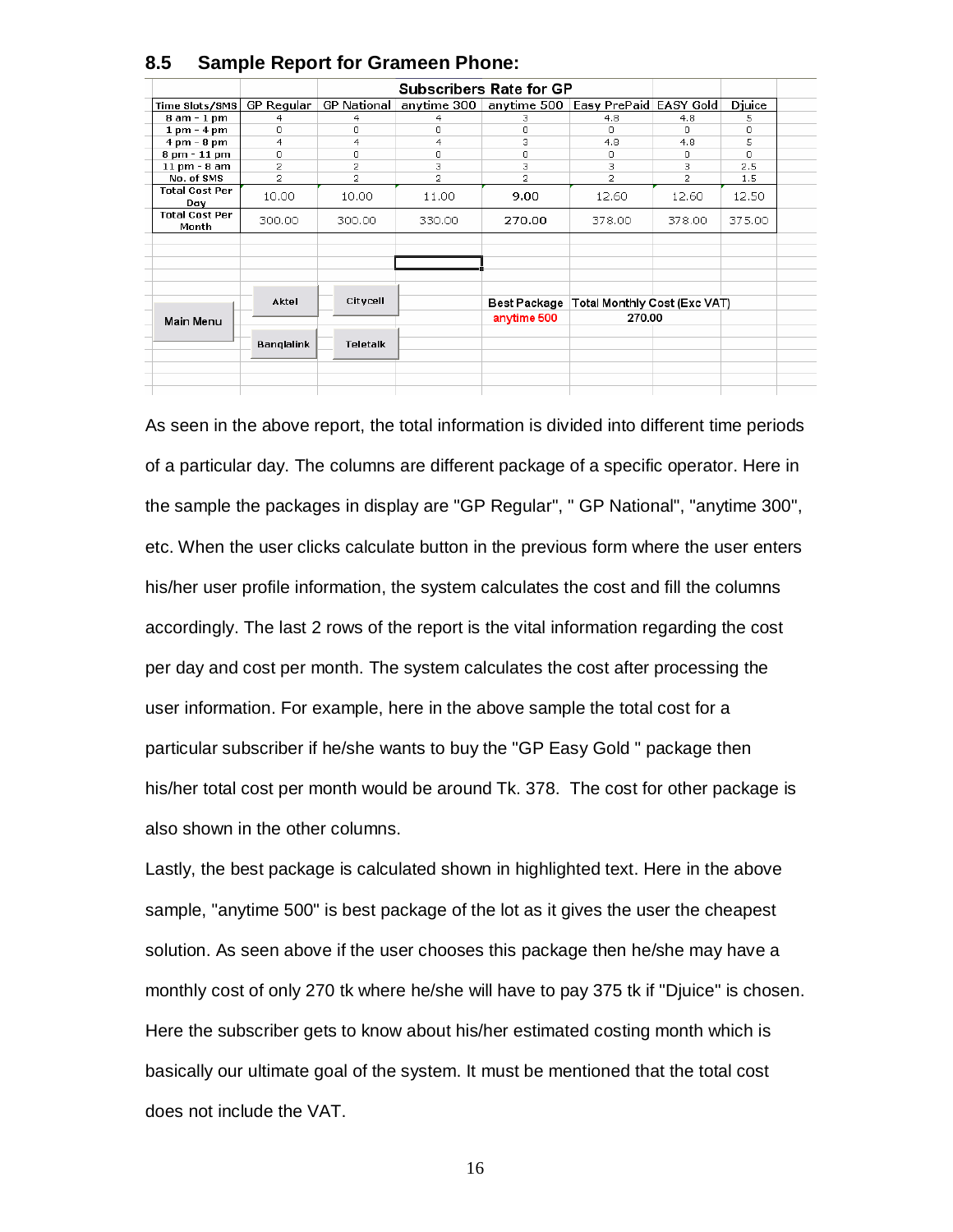|                                |                   |                    |                | <b>Subscribers Rate for GP</b>                       |                                             |          |        |  |
|--------------------------------|-------------------|--------------------|----------------|------------------------------------------------------|---------------------------------------------|----------|--------|--|
| Time Slots/SMS                 | GP Regular        | <b>GP National</b> |                | anytime 300   anytime 500   Easy PrePaid   EASY Gold |                                             |          | Djuice |  |
| 8 am - 1 pm                    | 4                 | 4                  | 4              | з                                                    | 4.8                                         | 4.8      | 5      |  |
| $1 \text{ pm} - 4 \text{ pm}$  | 0                 | 0                  | 0              | 0                                                    | 0                                           | $\Omega$ | 0      |  |
| $4 \text{ pm} - 8 \text{ pm}$  | 4                 | 4                  | 4              | 3                                                    | 4.8                                         | 4.8      | 5      |  |
| 8 pm - 11 pm                   | 0                 | n                  | 0              | 0                                                    | 0                                           | 0        | n.     |  |
| 11 pm - 8 am                   | $\overline{2}$    | 2                  | з              | 3                                                    | 3                                           | з        | 2.5    |  |
| No. of SMS                     | 2                 | $\overline{2}$     | $\overline{2}$ | $\overline{c}$                                       | $\overline{2}$                              | 2        | 1.5    |  |
| <b>Total Cost Per</b><br>Day   | 10.00             | 10.00              | 11.00          | 9.00                                                 | 12.60                                       | 12.60    | 12.50  |  |
| <b>Total Cost Per</b><br>Month | 300.00            | 300.00             | 330.00         | 270.00                                               | 378.00                                      | 378.00   | 375.00 |  |
|                                |                   |                    |                |                                                      |                                             |          |        |  |
|                                | Aktel             | Citycell           |                |                                                      | Best Package   Total Monthly Cost (Exc VAT) |          |        |  |
| Main Menu                      |                   |                    |                | anytime 500                                          | 270.00                                      |          |        |  |
|                                | <b>Banglalink</b> | Teletalk           |                |                                                      |                                             |          |        |  |
|                                |                   |                    |                |                                                      |                                             |          |        |  |
|                                |                   |                    |                |                                                      |                                             |          |        |  |

#### **8.5 Sample Report for Grameen Phone:**

As seen in the above report, the total information is divided into different time periods of a particular day. The columns are different package of a specific operator. Here in the sample the packages in display are "GP Regular", " GP National", "anytime 300", etc. When the user clicks calculate button in the previous form where the user enters his/her user profile information, the system calculates the cost and fill the columns accordingly. The last 2 rows of the report is the vital information regarding the cost per day and cost per month. The system calculates the cost after processing the user information. For example, here in the above sample the total cost for a particular subscriber if he/she wants to buy the "GP Easy Gold " package then his/her total cost per month would be around Tk. 378. The cost for other package is also shown in the other columns.

Lastly, the best package is calculated shown in highlighted text. Here in the above sample, "anytime 500" is best package of the lot as it gives the user the cheapest solution. As seen above if the user chooses this package then he/she may have a monthly cost of only 270 tk where he/she will have to pay 375 tk if "Djuice" is chosen. Here the subscriber gets to know about his/her estimated costing month which is basically our ultimate goal of the system. It must be mentioned that the total cost does not include the VAT.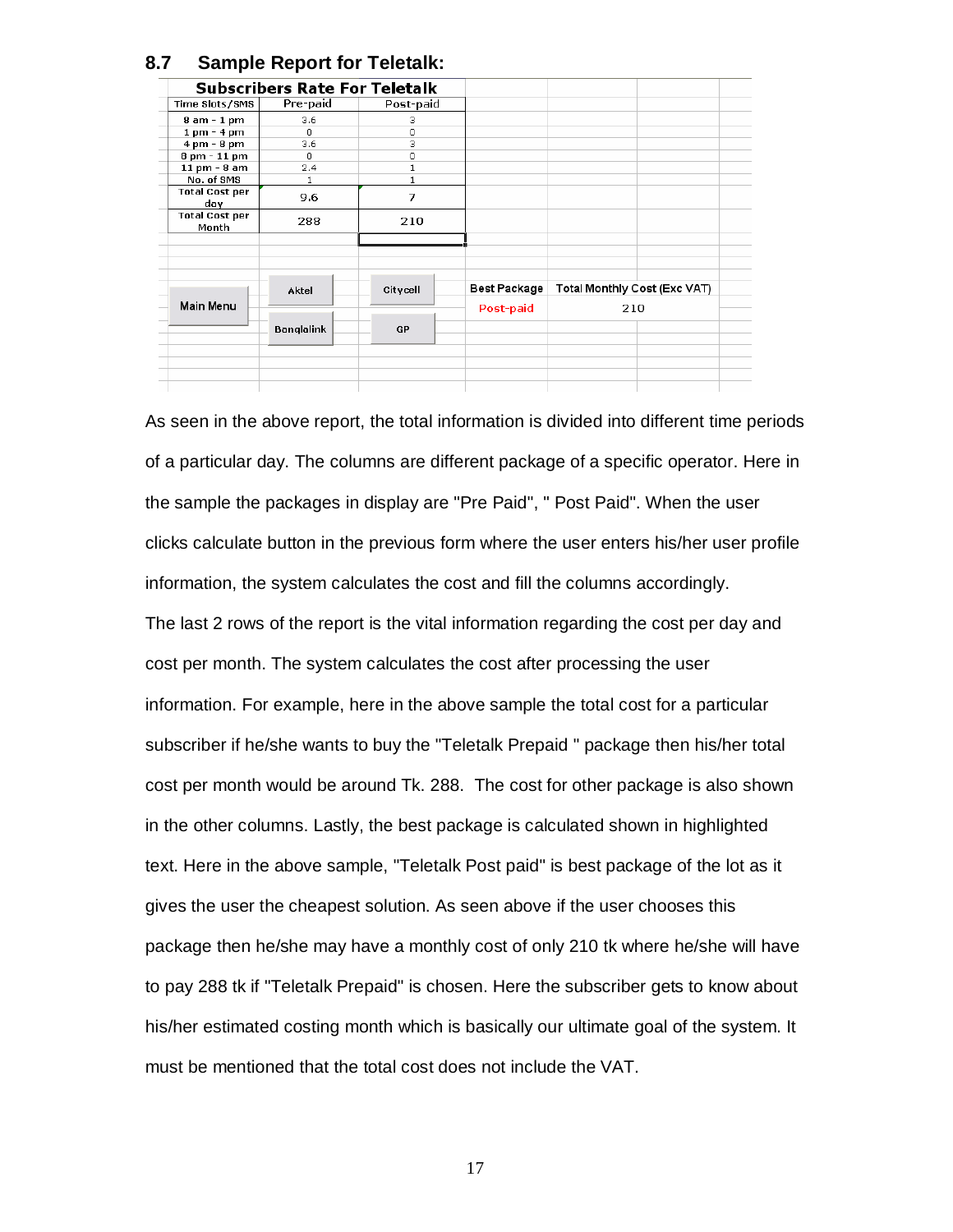|                                |                   | <b>Subscribers Rate For Teletalk</b> |              |                              |  |
|--------------------------------|-------------------|--------------------------------------|--------------|------------------------------|--|
| Time Slots/SMS                 | Pre-paid          | Post-paid                            |              |                              |  |
| 8 am - 1 pm                    | 3.6               | 3                                    |              |                              |  |
| $1$ pm - $4$ pm                | $\Omega$          | 0                                    |              |                              |  |
| $4 \text{ pm} - 8 \text{ pm}$  | 3.6               | 3                                    |              |                              |  |
| 8 pm - 11 pm                   | n.                | 0                                    |              |                              |  |
| 11 pm - 8 am                   | 2.4               | 1                                    |              |                              |  |
| No. of SMS                     | 1                 |                                      |              |                              |  |
| <b>Total Cost per</b><br>day   | 9.6               | 7                                    |              |                              |  |
| <b>Total Cost per</b><br>Month | 288               | 210                                  |              |                              |  |
|                                |                   |                                      |              |                              |  |
|                                | Aktel             | Citycell                             | Best Package | Total Monthly Cost (Exc VAT) |  |
| Main Menu                      |                   |                                      | Post-paid    | 210                          |  |
|                                | <b>Banglalink</b> | GP                                   |              |                              |  |
|                                |                   |                                      |              |                              |  |
|                                |                   |                                      |              |                              |  |
|                                |                   |                                      |              |                              |  |

### **8.7 Sample Report for Teletalk:**

As seen in the above report, the total information is divided into different time periods of a particular day. The columns are different package of a specific operator. Here in the sample the packages in display are "Pre Paid", " Post Paid". When the user clicks calculate button in the previous form where the user enters his/her user profile information, the system calculates the cost and fill the columns accordingly. The last 2 rows of the report is the vital information regarding the cost per day and cost per month. The system calculates the cost after processing the user information. For example, here in the above sample the total cost for a particular subscriber if he/she wants to buy the "Teletalk Prepaid " package then his/her total cost per month would be around Tk. 288. The cost for other package is also shown in the other columns. Lastly, the best package is calculated shown in highlighted text. Here in the above sample, "Teletalk Post paid" is best package of the lot as it gives the user the cheapest solution. As seen above if the user chooses this package then he/she may have a monthly cost of only 210 tk where he/she will have to pay 288 tk if "Teletalk Prepaid" is chosen. Here the subscriber gets to know about his/her estimated costing month which is basically our ultimate goal of the system. It must be mentioned that the total cost does not include the VAT.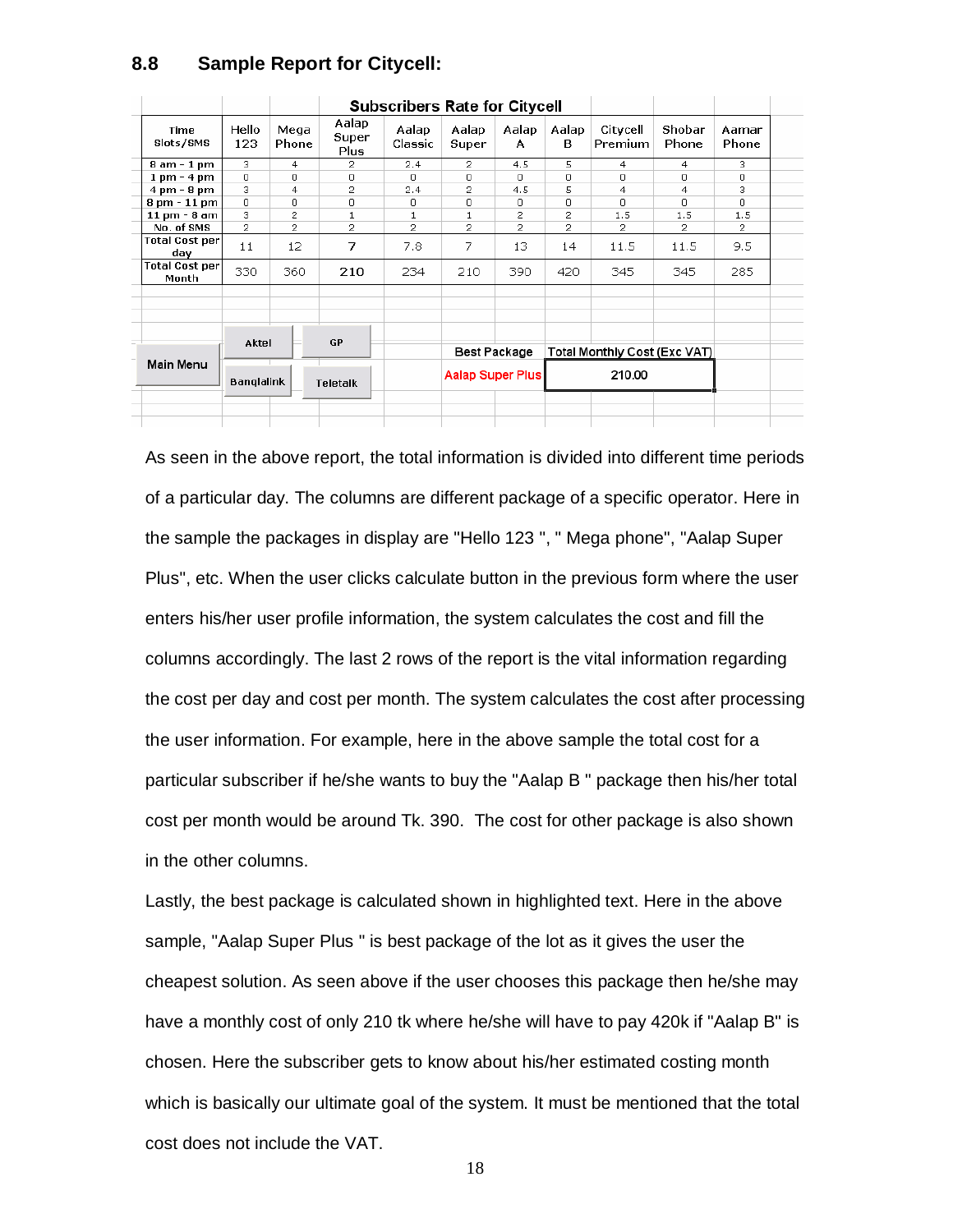|           |                                |                |               |                        | <b>Subscribers Rate for Citycell</b> |                                         |                |                              |                     |                 |                |
|-----------|--------------------------------|----------------|---------------|------------------------|--------------------------------------|-----------------------------------------|----------------|------------------------------|---------------------|-----------------|----------------|
|           | Time<br>Slots/SMS              | Hello<br>123   | Mega<br>Phone | Aalap<br>Super<br>Plus | Aalap<br>Classic                     | Aalap<br>Super                          | Aalap<br>A     | Aalap<br>в                   | Citycell<br>Premium | Shobar<br>Phone | Aamar<br>Phone |
|           | 8 am - 1 pm                    | 3              | 4             | 2                      | 2.4                                  | $\overline{2}$                          | 4.5            | 5                            | 4                   | $\overline{4}$  | з              |
|           | $1 \text{ pm} - 4 \text{ pm}$  | $\Omega$       | 0             | $\Box$                 | $\Omega$                             | $\Box$                                  | $\Omega$       | $\Box$                       | $\Omega$            | n               | 0              |
|           | $4 \text{ pm} - 8 \text{ pm}$  | 3              | 4             | 2                      | 2.4                                  | 2                                       | 4.5            | 5                            | 4                   | 4               | з              |
|           | $8 \text{ pm} - 11 \text{ pm}$ | 0              | 0             | 0                      | 0                                    | 0                                       | 0              | 0                            | 0.                  | Ω               | 0              |
|           | 11 pm - 8 am                   | 3              | 2             | 1                      |                                      |                                         | 2              | 2                            | 1.5                 | 1.5             | 1.5            |
|           | No. of SMS                     | $\overline{c}$ | 2             | 2                      | 2                                    | 2                                       | $\overline{c}$ | 2                            | $\overline{2}$      | 2               | 2              |
|           | Total Cost per<br>day          | 11             | 12            | 7                      | 7.8                                  | 7                                       | 13             | 14                           | 11.5                | 11.5            | 9,5            |
|           | <b>Total Cost per</b><br>Month | 330            | 360           | 210                    | 234                                  | 210                                     | 390            | 420                          | 345                 | 345             | 285            |
|           |                                |                |               |                        |                                      |                                         |                |                              |                     |                 |                |
|           |                                |                |               |                        |                                      |                                         |                |                              |                     |                 |                |
|           |                                | Aktel          |               | <b>GP</b>              |                                      |                                         |                |                              |                     |                 |                |
| Main Menu |                                |                |               |                        |                                      | Best Package<br><b>Aalap Super Plus</b> |                | Total Monthly Cost (Exc VAT) |                     |                 |                |
|           |                                | Banglalink     |               | <b>Teletalk</b>        |                                      |                                         |                |                              | 210.00              |                 |                |
|           |                                |                |               |                        |                                      |                                         |                |                              |                     |                 |                |
|           |                                |                |               |                        |                                      |                                         |                |                              |                     |                 |                |

#### **8.8 Sample Report for Citycell:**

As seen in the above report, the total information is divided into different time periods of a particular day. The columns are different package of a specific operator. Here in the sample the packages in display are "Hello 123 ", " Mega phone", "Aalap Super Plus", etc. When the user clicks calculate button in the previous form where the user enters his/her user profile information, the system calculates the cost and fill the columns accordingly. The last 2 rows of the report is the vital information regarding the cost per day and cost per month. The system calculates the cost after processing the user information. For example, here in the above sample the total cost for a particular subscriber if he/she wants to buy the "Aalap B " package then his/her total cost per month would be around Tk. 390. The cost for other package is also shown in the other columns.

Lastly, the best package is calculated shown in highlighted text. Here in the above sample, "Aalap Super Plus " is best package of the lot as it gives the user the cheapest solution. As seen above if the user chooses this package then he/she may have a monthly cost of only 210 tk where he/she will have to pay 420k if "Aalap B" is chosen. Here the subscriber gets to know about his/her estimated costing month which is basically our ultimate goal of the system. It must be mentioned that the total cost does not include the VAT.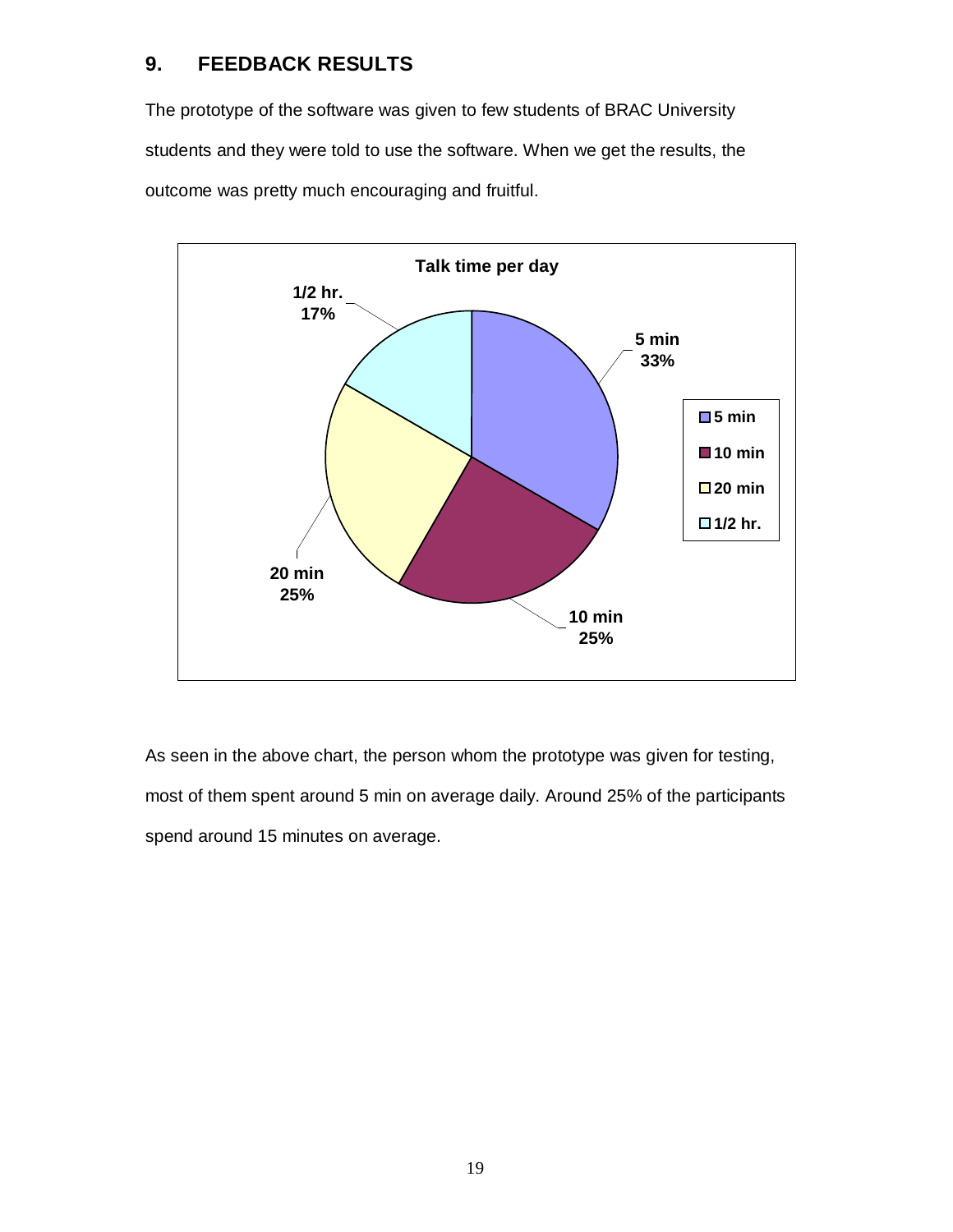## **9. FEEDBACK RESULTS**

The prototype of the software was given to few students of BRAC University students and they were told to use the software. When we get the results, the outcome was pretty much encouraging and fruitful.



As seen in the above chart, the person whom the prototype was given for testing, most of them spent around 5 min on average daily. Around 25% of the participants spend around 15 minutes on average.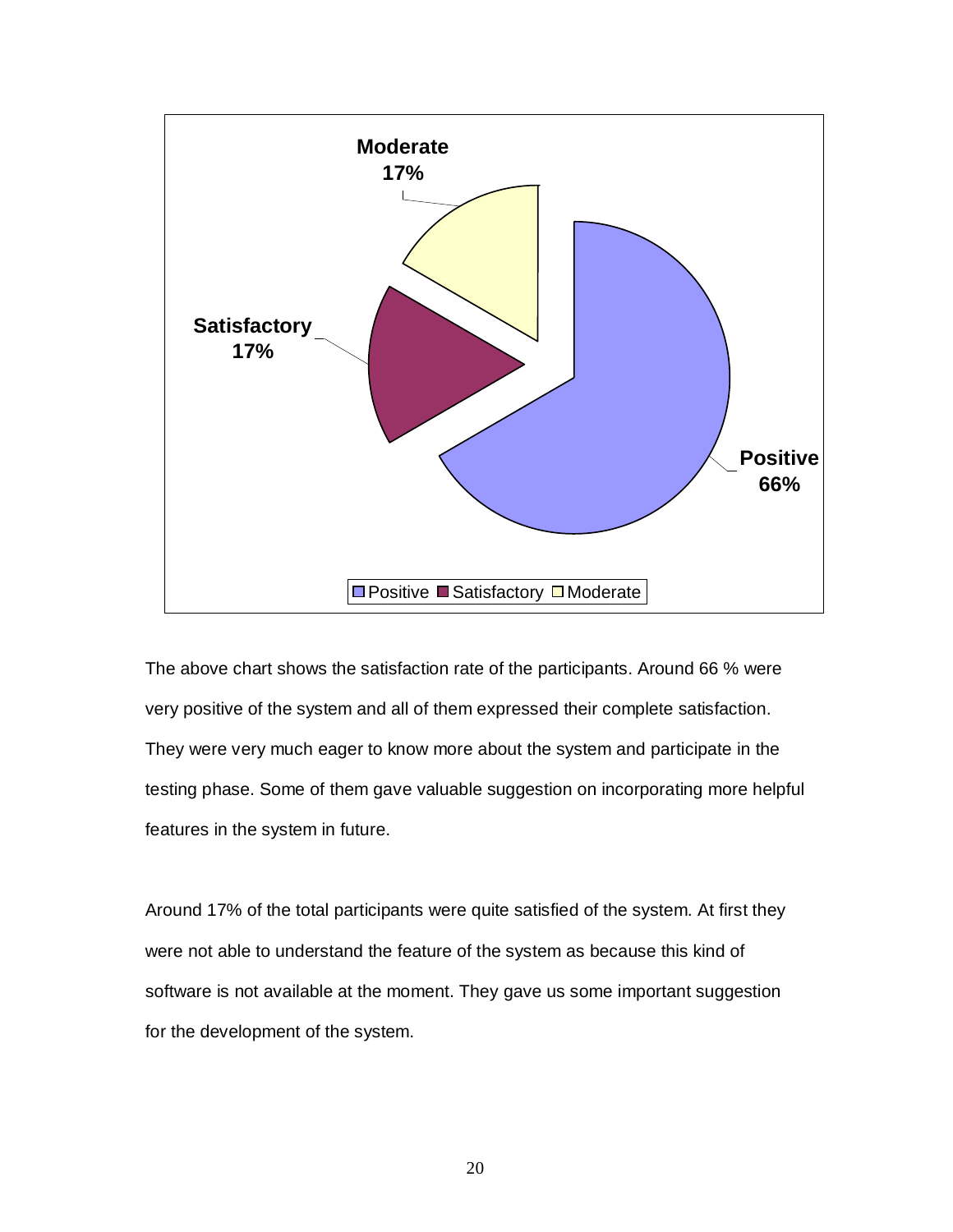

The above chart shows the satisfaction rate of the participants. Around 66 % were very positive of the system and all of them expressed their complete satisfaction. They were very much eager to know more about the system and participate in the testing phase. Some of them gave valuable suggestion on incorporating more helpful features in the system in future.

Around 17% of the total participants were quite satisfied of the system. At first they were not able to understand the feature of the system as because this kind of software is not available at the moment. They gave us some important suggestion for the development of the system.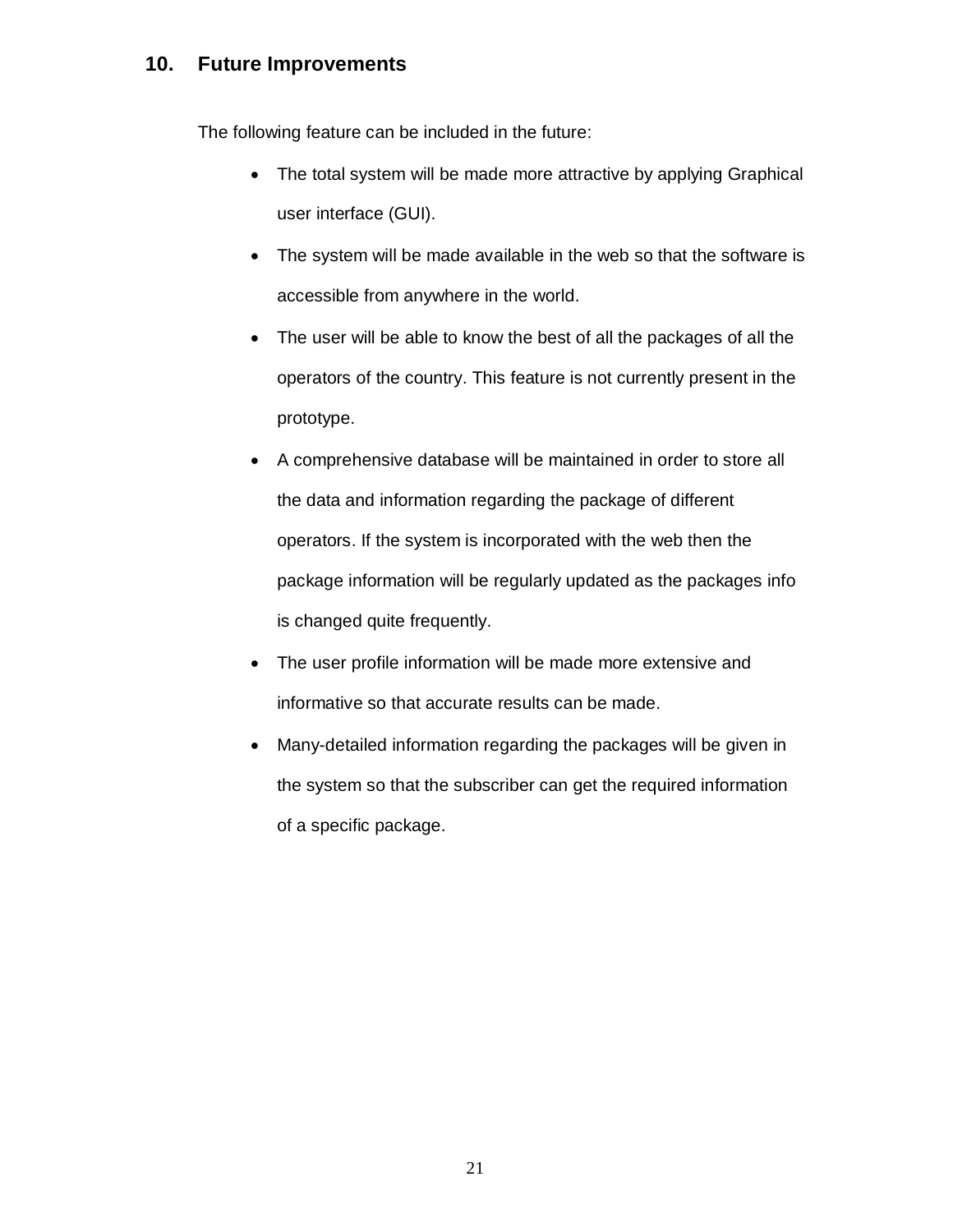## **10. Future Improvements**

The following feature can be included in the future:

- The total system will be made more attractive by applying Graphical user interface (GUI).
- The system will be made available in the web so that the software is accessible from anywhere in the world.
- The user will be able to know the best of all the packages of all the operators of the country. This feature is not currently present in the prototype.
- A comprehensive database will be maintained in order to store all the data and information regarding the package of different operators. If the system is incorporated with the web then the package information will be regularly updated as the packages info is changed quite frequently.
- The user profile information will be made more extensive and informative so that accurate results can be made.
- Many-detailed information regarding the packages will be given in the system so that the subscriber can get the required information of a specific package.